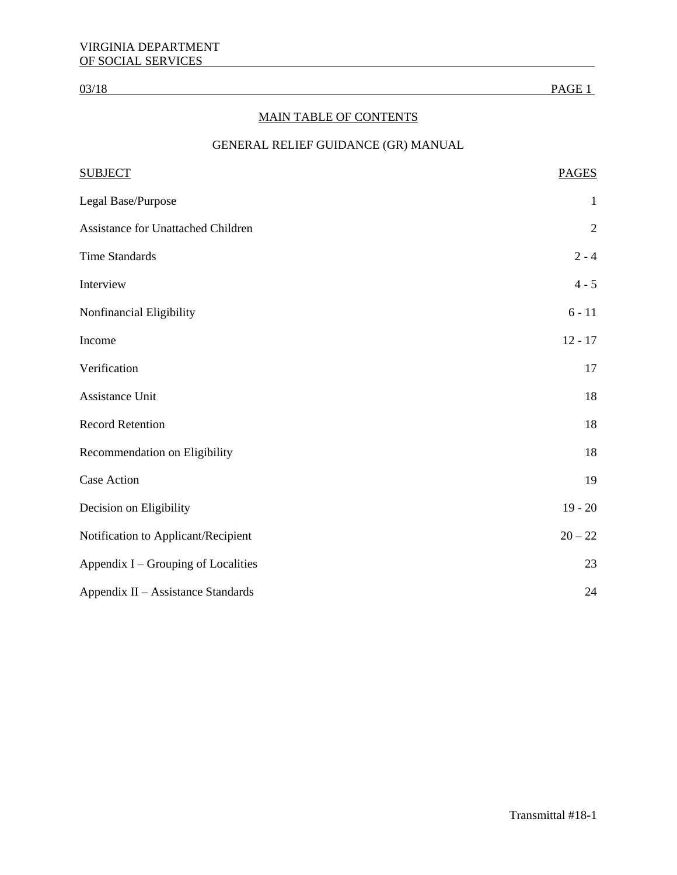# MAIN TABLE OF CONTENTS

# GENERAL RELIEF GUIDANCE (GR) MANUAL

| <b>SUBJECT</b>                      | <b>PAGES</b> |
|-------------------------------------|--------------|
| Legal Base/Purpose                  | $\mathbf{1}$ |
| Assistance for Unattached Children  | $\sqrt{2}$   |
| <b>Time Standards</b>               | $2 - 4$      |
| Interview                           | $4 - 5$      |
| Nonfinancial Eligibility            | $6 - 11$     |
| Income                              | $12 - 17$    |
| Verification                        | 17           |
| Assistance Unit                     | 18           |
| <b>Record Retention</b>             | 18           |
| Recommendation on Eligibility       | 18           |
| <b>Case Action</b>                  | 19           |
| Decision on Eligibility             | $19 - 20$    |
| Notification to Applicant/Recipient | $20 - 22$    |
| Appendix I – Grouping of Localities | 23           |
| Appendix II - Assistance Standards  | 24           |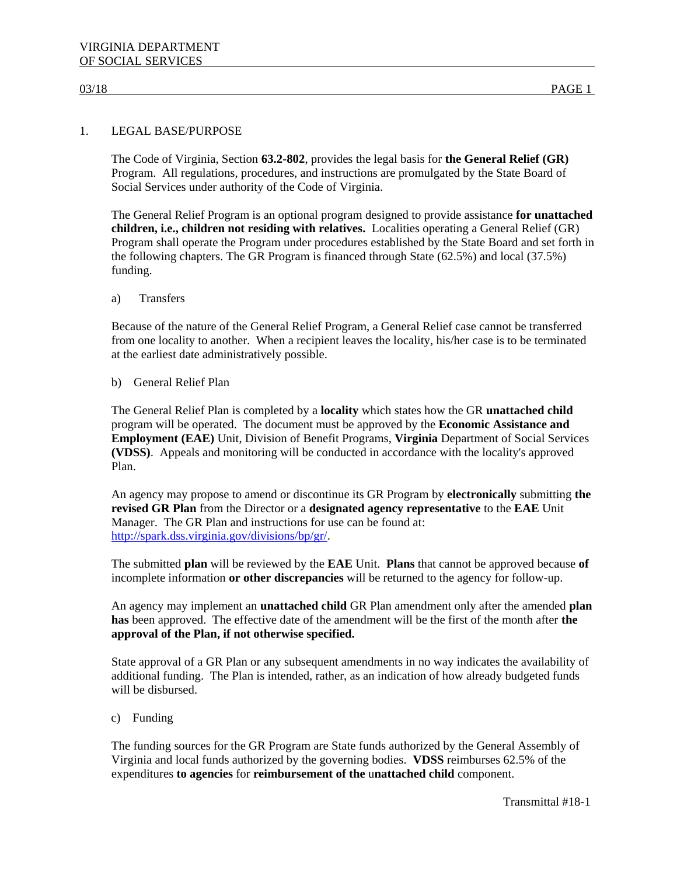# 1. LEGAL BASE/PURPOSE

The Code of Virginia, Section **63.2-802**, provides the legal basis for **the General Relief (GR)**  Program. All regulations, procedures, and instructions are promulgated by the State Board of Social Services under authority of the Code of Virginia.

The General Relief Program is an optional program designed to provide assistance **for unattached children, i.e., children not residing with relatives.** Localities operating a General Relief (GR) Program shall operate the Program under procedures established by the State Board and set forth in the following chapters. The GR Program is financed through State (62.5%) and local (37.5%) funding.

a) Transfers

Because of the nature of the General Relief Program, a General Relief case cannot be transferred from one locality to another. When a recipient leaves the locality, his/her case is to be terminated at the earliest date administratively possible.

b) General Relief Plan

The General Relief Plan is completed by a **locality** which states how the GR **unattached child**  program will be operated. The document must be approved by the **Economic Assistance and Employment (EAE)** Unit, Division of Benefit Programs, **Virginia** Department of Social Services **(VDSS)**. Appeals and monitoring will be conducted in accordance with the locality's approved Plan.

An agency may propose to amend or discontinue its GR Program by **electronically** submitting **the revised GR Plan** from the Director or a **designated agency representative** to the **EAE** Unit Manager. The GR Plan and instructions for use can be found at: [http://spark.dss.virginia.gov/divisions/bp/gr/.](http://spark.dss.virginia.gov/divisions/bp/gr/)

The submitted **plan** will be reviewed by the **EAE** Unit. **Plans** that cannot be approved because **of** incomplete information **or other discrepancies** will be returned to the agency for follow-up.

An agency may implement an **unattached child** GR Plan amendment only after the amended **plan has** been approved. The effective date of the amendment will be the first of the month after **the approval of the Plan, if not otherwise specified.**

State approval of a GR Plan or any subsequent amendments in no way indicates the availability of additional funding. The Plan is intended, rather, as an indication of how already budgeted funds will be disbursed.

c) Funding

The funding sources for the GR Program are State funds authorized by the General Assembly of Virginia and local funds authorized by the governing bodies. **VDSS** reimburses 62.5% of the expenditures **to agencies** for **reimbursement of the** u**nattached child** component.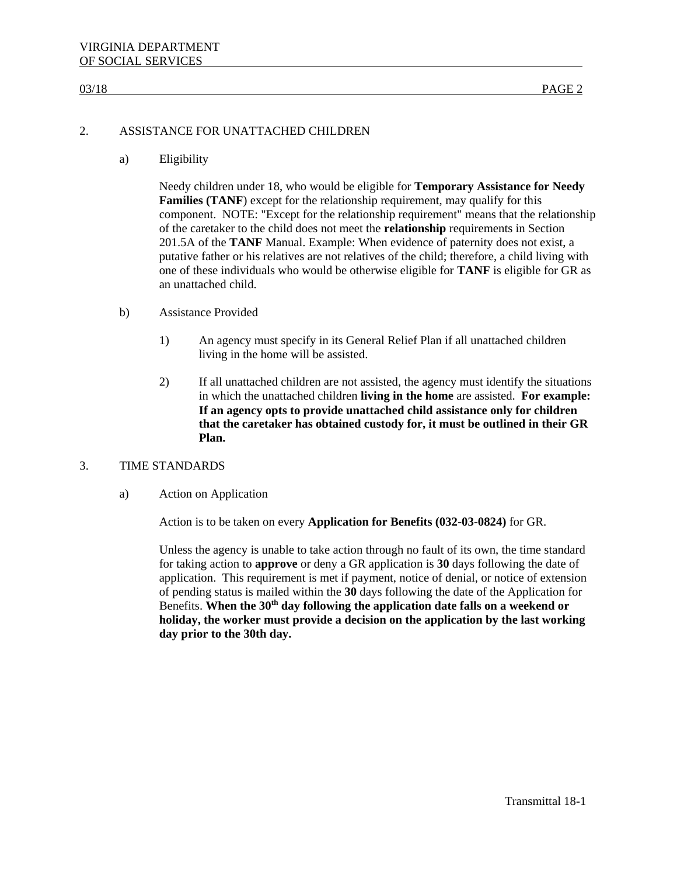# 2. ASSISTANCE FOR UNATTACHED CHILDREN

a) Eligibility

Needy children under 18, who would be eligible for **Temporary Assistance for Needy Families (TANF)** except for the relationship requirement, may qualify for this component. NOTE: "Except for the relationship requirement" means that the relationship of the caretaker to the child does not meet the **relationship** requirements in Section 201.5A of the **TANF** Manual. Example: When evidence of paternity does not exist, a putative father or his relatives are not relatives of the child; therefore, a child living with one of these individuals who would be otherwise eligible for **TANF** is eligible for GR as an unattached child.

- b) Assistance Provided
	- 1) An agency must specify in its General Relief Plan if all unattached children living in the home will be assisted.
	- 2) If all unattached children are not assisted, the agency must identify the situations in which the unattached children **living in the home** are assisted. **For example: If an agency opts to provide unattached child assistance only for children that the caretaker has obtained custody for, it must be outlined in their GR Plan.**

### 3. TIME STANDARDS

### a) Action on Application

Action is to be taken on every **Application for Benefits (032-03-0824)** for GR.

Unless the agency is unable to take action through no fault of its own, the time standard for taking action to **approve** or deny a GR application is **30** days following the date of application. This requirement is met if payment, notice of denial, or notice of extension of pending status is mailed within the **30** days following the date of the Application for Benefits. **When the 30th day following the application date falls on a weekend or holiday, the worker must provide a decision on the application by the last working day prior to the 30th day.**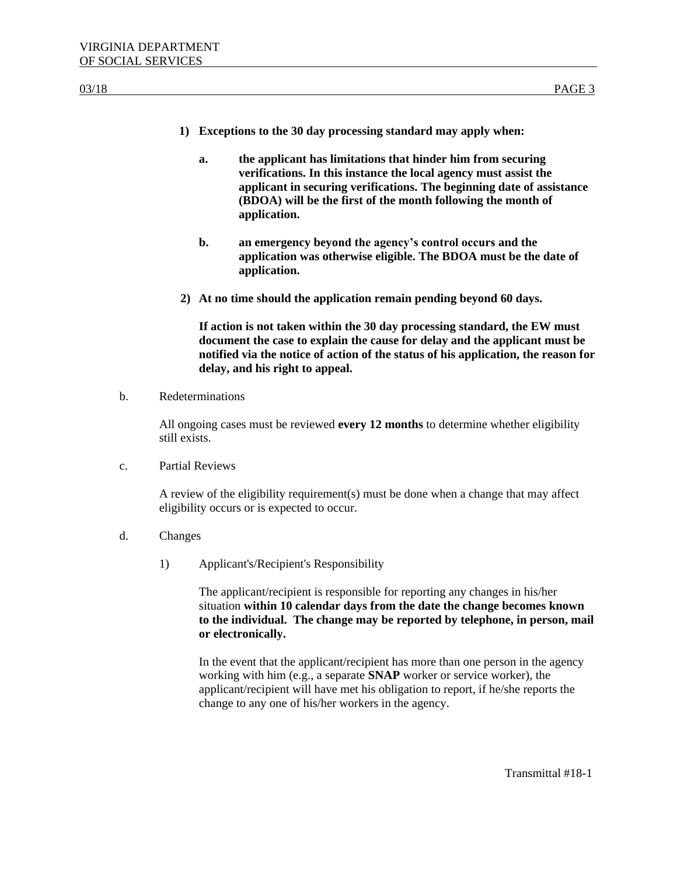- **1) Exceptions to the 30 day processing standard may apply when:**
	- **a. the applicant has limitations that hinder him from securing verifications. In this instance the local agency must assist the applicant in securing verifications. The beginning date of assistance (BDOA) will be the first of the month following the month of application.**
	- **b. an emergency beyond the agency's control occurs and the application was otherwise eligible. The BDOA must be the date of application.**
- **2) At no time should the application remain pending beyond 60 days.**

**If action is not taken within the 30 day processing standard, the EW must document the case to explain the cause for delay and the applicant must be notified via the notice of action of the status of his application, the reason for delay, and his right to appeal.** 

b. Redeterminations

All ongoing cases must be reviewed **every 12 months** to determine whether eligibility still exists.

c. Partial Reviews

A review of the eligibility requirement(s) must be done when a change that may affect eligibility occurs or is expected to occur.

- d. Changes
	- 1) Applicant's/Recipient's Responsibility

The applicant/recipient is responsible for reporting any changes in his/her situation **within 10 calendar days from the date the change becomes known to the individual. The change may be reported by telephone, in person, mail or electronically.**

In the event that the applicant/recipient has more than one person in the agency working with him (e.g., a separate **SNAP** worker or service worker), the applicant/recipient will have met his obligation to report, if he/she reports the change to any one of his/her workers in the agency.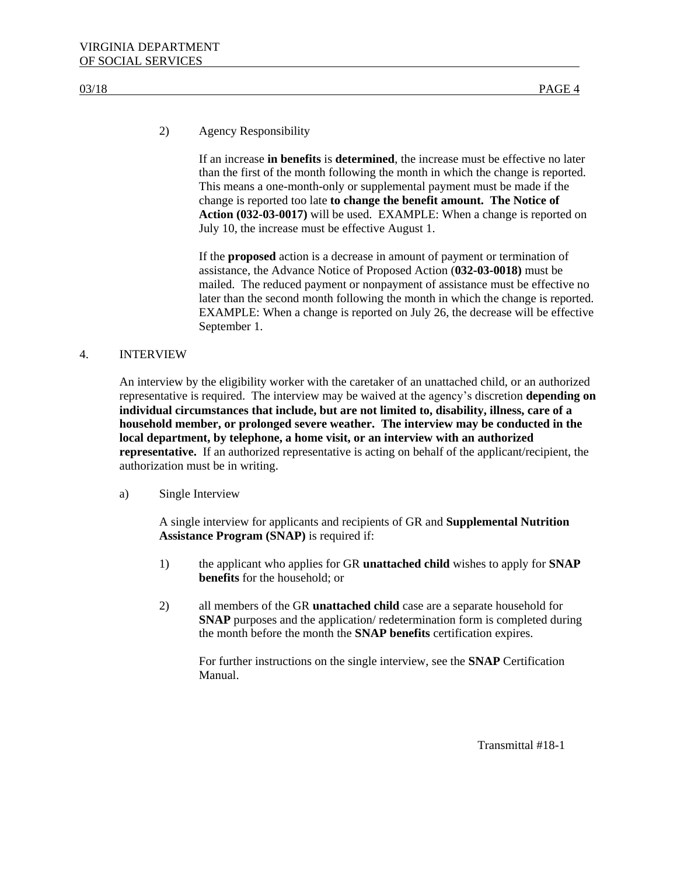# 2) Agency Responsibility

If an increase **in benefits** is **determined**, the increase must be effective no later than the first of the month following the month in which the change is reported. This means a one-month-only or supplemental payment must be made if the change is reported too late **to change the benefit amount. The Notice of Action (032-03-0017)** will be used. EXAMPLE: When a change is reported on July 10, the increase must be effective August 1.

If the **proposed** action is a decrease in amount of payment or termination of assistance, the Advance Notice of Proposed Action (**032-03-0018)** must be mailed. The reduced payment or nonpayment of assistance must be effective no later than the second month following the month in which the change is reported. EXAMPLE: When a change is reported on July 26, the decrease will be effective September 1.

# 4. INTERVIEW

An interview by the eligibility worker with the caretaker of an unattached child, or an authorized representative is required. The interview may be waived at the agency's discretion **depending on individual circumstances that include, but are not limited to, disability, illness, care of a household member, or prolonged severe weather. The interview may be conducted in the local department, by telephone, a home visit, or an interview with an authorized representative.** If an authorized representative is acting on behalf of the applicant/recipient, the authorization must be in writing.

### a) Single Interview

A single interview for applicants and recipients of GR and **Supplemental Nutrition Assistance Program (SNAP)** is required if:

- 1) the applicant who applies for GR **unattached child** wishes to apply for **SNAP benefits** for the household; or
- 2) all members of the GR **unattached child** case are a separate household for **SNAP** purposes and the application/ redetermination form is completed during the month before the month the **SNAP benefits** certification expires.

For further instructions on the single interview, see the **SNAP** Certification Manual.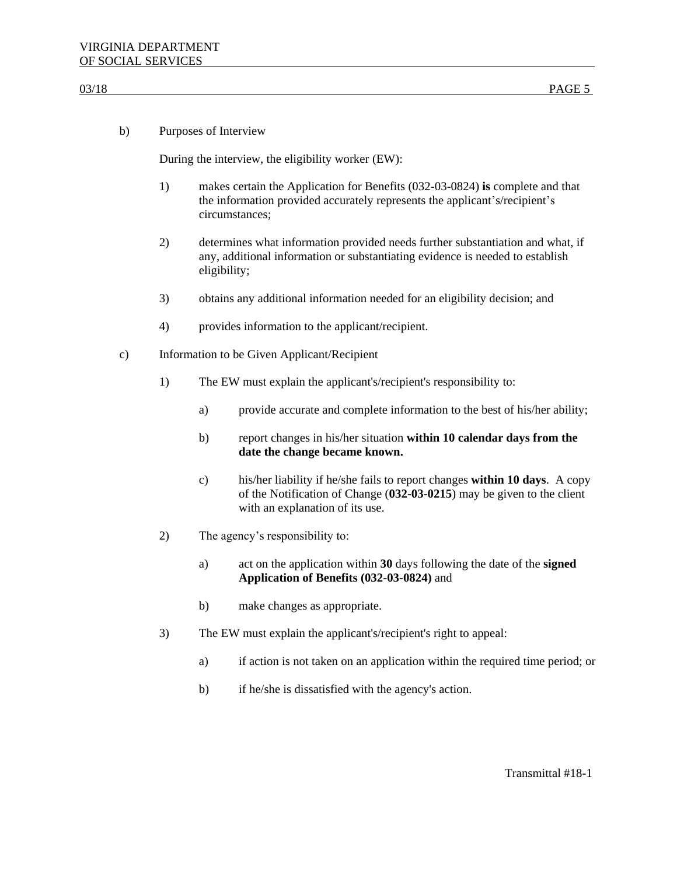| b) |  | Purposes of Interview |  |
|----|--|-----------------------|--|
|----|--|-----------------------|--|

During the interview, the eligibility worker (EW):

- 1) makes certain the Application for Benefits (032-03-0824) **is** complete and that the information provided accurately represents the applicant's/recipient's circumstances;
- 2) determines what information provided needs further substantiation and what, if any, additional information or substantiating evidence is needed to establish eligibility;
- 3) obtains any additional information needed for an eligibility decision; and
- 4) provides information to the applicant/recipient.
- c) Information to be Given Applicant/Recipient
	- 1) The EW must explain the applicant's/recipient's responsibility to:
		- a) provide accurate and complete information to the best of his/her ability;
		- b) report changes in his/her situation **within 10 calendar days from the date the change became known.**
		- c) his/her liability if he/she fails to report changes **within 10 days**. A copy of the Notification of Change (**032-03-0215**) may be given to the client with an explanation of its use.
	- 2) The agency's responsibility to:
		- a) act on the application within **30** days following the date of the **signed Application of Benefits (032-03-0824)** and
		- b) make changes as appropriate.
	- 3) The EW must explain the applicant's/recipient's right to appeal:
		- a) if action is not taken on an application within the required time period; or
		- b) if he/she is dissatisfied with the agency's action.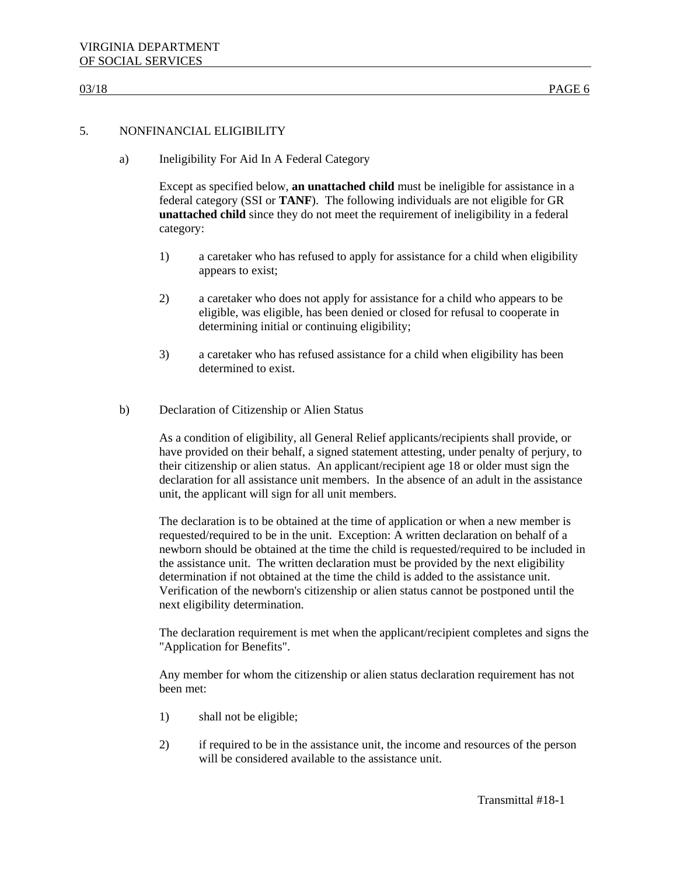# 5. NONFINANCIAL ELIGIBILITY

a) Ineligibility For Aid In A Federal Category

Except as specified below, **an unattached child** must be ineligible for assistance in a federal category (SSI or **TANF**). The following individuals are not eligible for GR **unattached child** since they do not meet the requirement of ineligibility in a federal category:

- 1) a caretaker who has refused to apply for assistance for a child when eligibility appears to exist;
- 2) a caretaker who does not apply for assistance for a child who appears to be eligible, was eligible, has been denied or closed for refusal to cooperate in determining initial or continuing eligibility;
- 3) a caretaker who has refused assistance for a child when eligibility has been determined to exist.
- b) Declaration of Citizenship or Alien Status

As a condition of eligibility, all General Relief applicants/recipients shall provide, or have provided on their behalf, a signed statement attesting, under penalty of perjury, to their citizenship or alien status. An applicant/recipient age 18 or older must sign the declaration for all assistance unit members. In the absence of an adult in the assistance unit, the applicant will sign for all unit members.

The declaration is to be obtained at the time of application or when a new member is requested/required to be in the unit. Exception: A written declaration on behalf of a newborn should be obtained at the time the child is requested/required to be included in the assistance unit. The written declaration must be provided by the next eligibility determination if not obtained at the time the child is added to the assistance unit. Verification of the newborn's citizenship or alien status cannot be postponed until the next eligibility determination.

The declaration requirement is met when the applicant/recipient completes and signs the "Application for Benefits".

Any member for whom the citizenship or alien status declaration requirement has not been met:

- 1) shall not be eligible;
- 2) if required to be in the assistance unit, the income and resources of the person will be considered available to the assistance unit.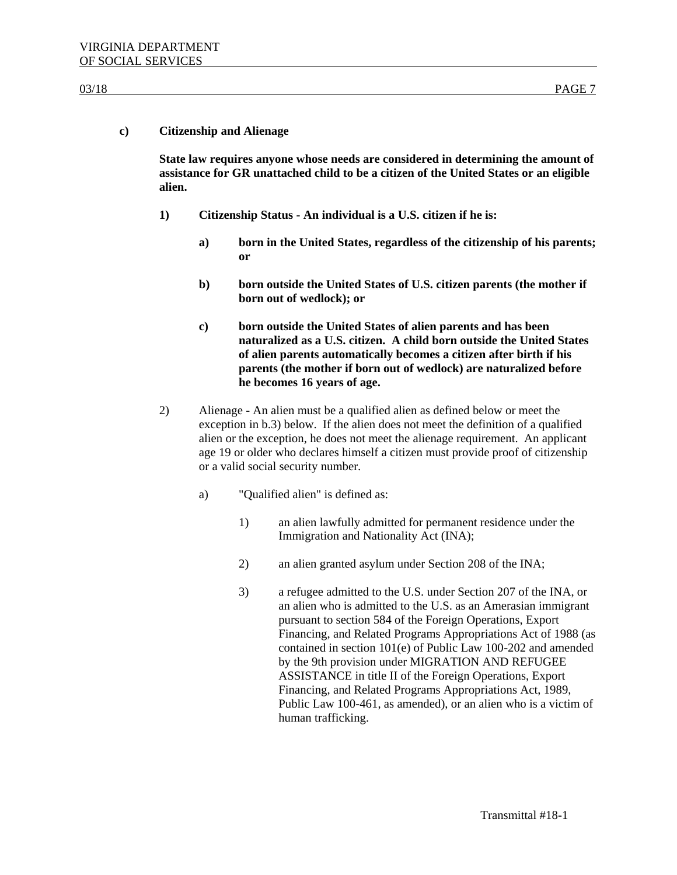# **c) Citizenship and Alienage**

**State law requires anyone whose needs are considered in determining the amount of assistance for GR unattached child to be a citizen of the United States or an eligible alien.** 

- **1) Citizenship Status - An individual is a U.S. citizen if he is:**
	- **a) born in the United States, regardless of the citizenship of his parents; or**
	- **b) born outside the United States of U.S. citizen parents (the mother if born out of wedlock); or**
	- **c) born outside the United States of alien parents and has been naturalized as a U.S. citizen. A child born outside the United States of alien parents automatically becomes a citizen after birth if his parents (the mother if born out of wedlock) are naturalized before he becomes 16 years of age.**
- 2) Alienage An alien must be a qualified alien as defined below or meet the exception in b.3) below. If the alien does not meet the definition of a qualified alien or the exception, he does not meet the alienage requirement. An applicant age 19 or older who declares himself a citizen must provide proof of citizenship or a valid social security number.
	- a) "Qualified alien" is defined as:
		- 1) an alien lawfully admitted for permanent residence under the Immigration and Nationality Act (INA);
		- 2) an alien granted asylum under Section 208 of the INA;
		- 3) a refugee admitted to the U.S. under Section 207 of the INA, or an alien who is admitted to the U.S. as an Amerasian immigrant pursuant to section 584 of the Foreign Operations, Export Financing, and Related Programs Appropriations Act of 1988 (as contained in section 101(e) of Public Law 100-202 and amended by the 9th provision under MIGRATION AND REFUGEE ASSISTANCE in title II of the Foreign Operations, Export Financing, and Related Programs Appropriations Act, 1989, Public Law 100-461, as amended), or an alien who is a victim of human trafficking.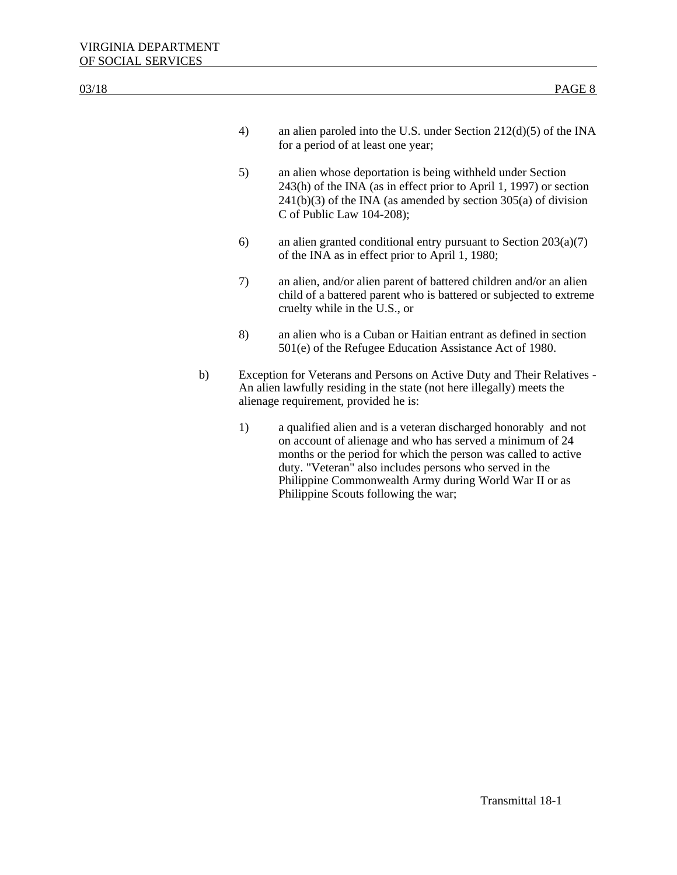| 03/18 |    |    | PAGE 8                                                                                                                                                                                                                                                                                                                                                      |
|-------|----|----|-------------------------------------------------------------------------------------------------------------------------------------------------------------------------------------------------------------------------------------------------------------------------------------------------------------------------------------------------------------|
|       |    | 4) | an alien paroled into the U.S. under Section $212(d)(5)$ of the INA<br>for a period of at least one year;                                                                                                                                                                                                                                                   |
|       |    | 5) | an alien whose deportation is being withheld under Section<br>243(h) of the INA (as in effect prior to April 1, 1997) or section<br>$241(b)(3)$ of the INA (as amended by section 305(a) of division<br>C of Public Law $104-208$ ;                                                                                                                         |
|       |    | 6) | an alien granted conditional entry pursuant to Section $203(a)(7)$<br>of the INA as in effect prior to April 1, 1980;                                                                                                                                                                                                                                       |
|       |    | 7) | an alien, and/or alien parent of battered children and/or an alien<br>child of a battered parent who is battered or subjected to extreme<br>cruelty while in the U.S., or                                                                                                                                                                                   |
|       |    | 8) | an alien who is a Cuban or Haitian entrant as defined in section<br>501(e) of the Refugee Education Assistance Act of 1980.                                                                                                                                                                                                                                 |
|       | b) |    | Exception for Veterans and Persons on Active Duty and Their Relatives -<br>An alien lawfully residing in the state (not here illegally) meets the<br>alienage requirement, provided he is:                                                                                                                                                                  |
|       |    | 1) | a qualified alien and is a veteran discharged honorably and not<br>on account of alienage and who has served a minimum of 24<br>months or the period for which the person was called to active<br>duty. "Veteran" also includes persons who served in the<br>Philippine Commonwealth Army during World War II or as<br>Philippine Scouts following the war; |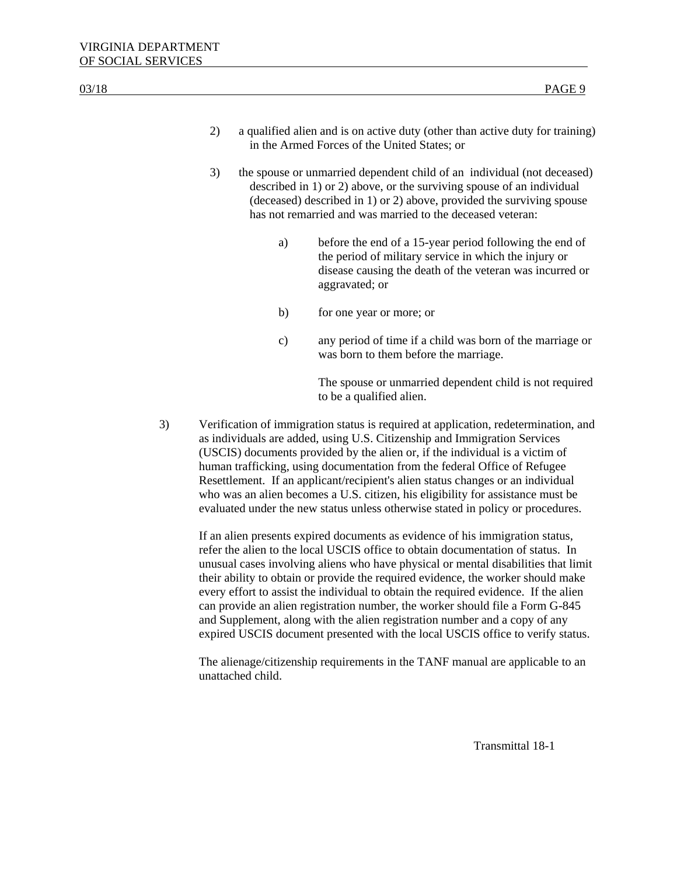| 2) | a qualified alien and is on active duty (other than active duty for training) |
|----|-------------------------------------------------------------------------------|
|    | in the Armed Forces of the United States; or                                  |

- 3) the spouse or unmarried dependent child of an individual (not deceased) described in 1) or 2) above, or the surviving spouse of an individual (deceased) described in 1) or 2) above, provided the surviving spouse has not remarried and was married to the deceased veteran:
	- a) before the end of a 15-year period following the end of the period of military service in which the injury or disease causing the death of the veteran was incurred or aggravated; or
	- b) for one year or more; or
	- c) any period of time if a child was born of the marriage or was born to them before the marriage.

The spouse or unmarried dependent child is not required to be a qualified alien.

3) Verification of immigration status is required at application, redetermination, and as individuals are added, using U.S. Citizenship and Immigration Services (USCIS) documents provided by the alien or, if the individual is a victim of human trafficking, using documentation from the federal Office of Refugee Resettlement. If an applicant/recipient's alien status changes or an individual who was an alien becomes a U.S. citizen, his eligibility for assistance must be evaluated under the new status unless otherwise stated in policy or procedures.

If an alien presents expired documents as evidence of his immigration status, refer the alien to the local USCIS office to obtain documentation of status. In unusual cases involving aliens who have physical or mental disabilities that limit their ability to obtain or provide the required evidence, the worker should make every effort to assist the individual to obtain the required evidence. If the alien can provide an alien registration number, the worker should file a Form G-845 and Supplement, along with the alien registration number and a copy of any expired USCIS document presented with the local USCIS office to verify status.

The alienage/citizenship requirements in the TANF manual are applicable to an unattached child.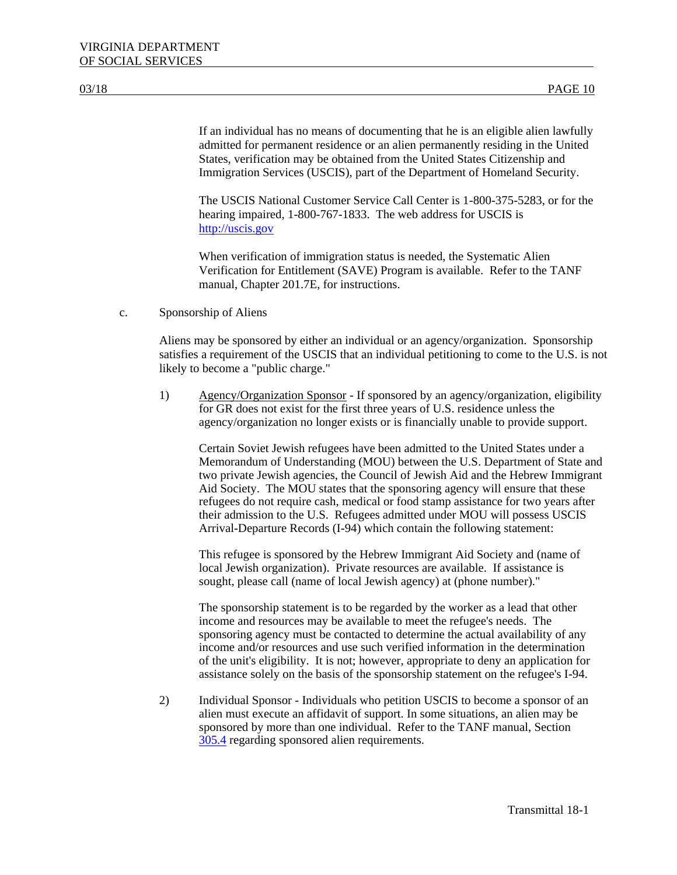If an individual has no means of documenting that he is an eligible alien lawfully admitted for permanent residence or an alien permanently residing in the United States, verification may be obtained from the United States Citizenship and Immigration Services (USCIS), part of the Department of Homeland Security.

The USCIS National Customer Service Call Center is 1-800-375-5283, or for the hearing impaired, 1-800-767-1833. The web address for USCIS is [http://uscis.gov](http://uscis.gov/)

When verification of immigration status is needed, the Systematic Alien Verification for Entitlement (SAVE) Program is available. Refer to the TANF manual, Chapter 201.7E, for instructions.

c. Sponsorship of Aliens

Aliens may be sponsored by either an individual or an agency/organization. Sponsorship satisfies a requirement of the USCIS that an individual petitioning to come to the U.S. is not likely to become a "public charge."

1) Agency/Organization Sponsor - If sponsored by an agency/organization, eligibility for GR does not exist for the first three years of U.S. residence unless the agency/organization no longer exists or is financially unable to provide support.

Certain Soviet Jewish refugees have been admitted to the United States under a Memorandum of Understanding (MOU) between the U.S. Department of State and two private Jewish agencies, the Council of Jewish Aid and the Hebrew Immigrant Aid Society. The MOU states that the sponsoring agency will ensure that these refugees do not require cash, medical or food stamp assistance for two years after their admission to the U.S. Refugees admitted under MOU will possess USCIS Arrival-Departure Records (I-94) which contain the following statement:

This refugee is sponsored by the Hebrew Immigrant Aid Society and (name of local Jewish organization). Private resources are available. If assistance is sought, please call (name of local Jewish agency) at (phone number)."

The sponsorship statement is to be regarded by the worker as a lead that other income and resources may be available to meet the refugee's needs. The sponsoring agency must be contacted to determine the actual availability of any income and/or resources and use such verified information in the determination of the unit's eligibility. It is not; however, appropriate to deny an application for assistance solely on the basis of the sponsorship statement on the refugee's I-94.

2) Individual Sponsor - Individuals who petition USCIS to become a sponsor of an alien must execute an affidavit of support. In some situations, an alien may be sponsored by more than one individual. Refer to the TANF manual, Section 305.4 regarding sponsored alien requirements.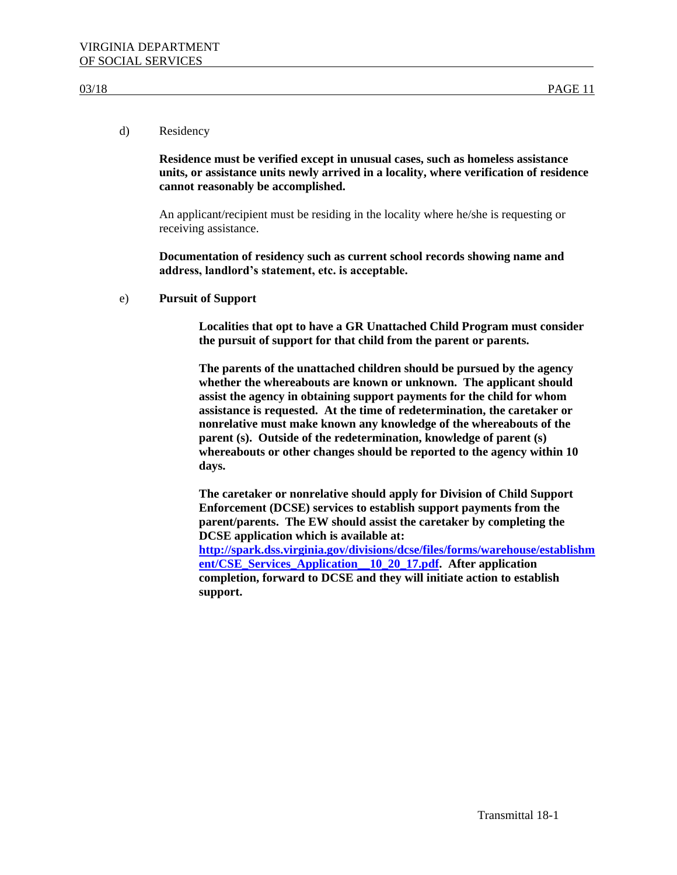# d) Residency

**Residence must be verified except in unusual cases, such as homeless assistance units, or assistance units newly arrived in a locality, where verification of residence cannot reasonably be accomplished.** 

An applicant/recipient must be residing in the locality where he/she is requesting or receiving assistance.

**Documentation of residency such as current school records showing name and address, landlord's statement, etc. is acceptable.**

e) **Pursuit of Support**

**Localities that opt to have a GR Unattached Child Program must consider the pursuit of support for that child from the parent or parents.**

**The parents of the unattached children should be pursued by the agency whether the whereabouts are known or unknown. The applicant should assist the agency in obtaining support payments for the child for whom assistance is requested. At the time of redetermination, the caretaker or nonrelative must make known any knowledge of the whereabouts of the parent (s). Outside of the redetermination, knowledge of parent (s) whereabouts or other changes should be reported to the agency within 10 days.**

**The caretaker or nonrelative should apply for Division of Child Support Enforcement (DCSE) services to establish support payments from the parent/parents. The EW should assist the caretaker by completing the DCSE application which is available at: [http://spark.dss.virginia.gov/divisions/dcse/files/forms/warehouse/establishm](http://spark.dss.virginia.gov/divisions/dcse/files/forms/warehouse/establishment/CSE_Services_Application__10_20_17.pdf) [ent/CSE\\_Services\\_Application\\_\\_10\\_20\\_17.pdf.](http://spark.dss.virginia.gov/divisions/dcse/files/forms/warehouse/establishment/CSE_Services_Application__10_20_17.pdf) After application completion, forward to DCSE and they will initiate action to establish support.**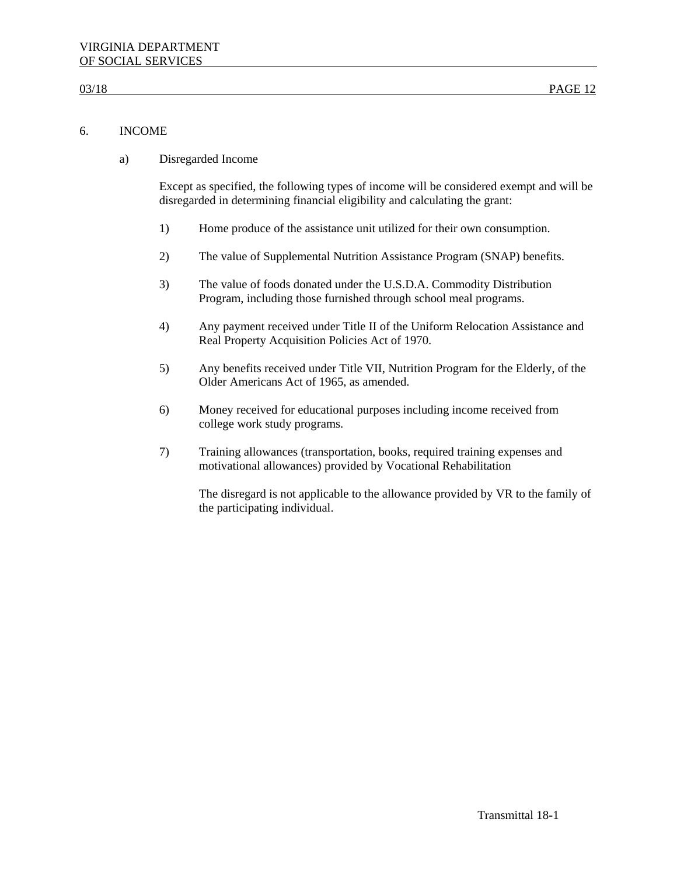# 6. INCOME

a) Disregarded Income

Except as specified, the following types of income will be considered exempt and will be disregarded in determining financial eligibility and calculating the grant:

- 1) Home produce of the assistance unit utilized for their own consumption.
- 2) The value of Supplemental Nutrition Assistance Program (SNAP) benefits.
- 3) The value of foods donated under the U.S.D.A. Commodity Distribution Program, including those furnished through school meal programs.
- 4) Any payment received under Title II of the Uniform Relocation Assistance and Real Property Acquisition Policies Act of 1970.
- 5) Any benefits received under Title VII, Nutrition Program for the Elderly, of the Older Americans Act of 1965, as amended.
- 6) Money received for educational purposes including income received from college work study programs.
- 7) Training allowances (transportation, books, required training expenses and motivational allowances) provided by Vocational Rehabilitation

The disregard is not applicable to the allowance provided by VR to the family of the participating individual.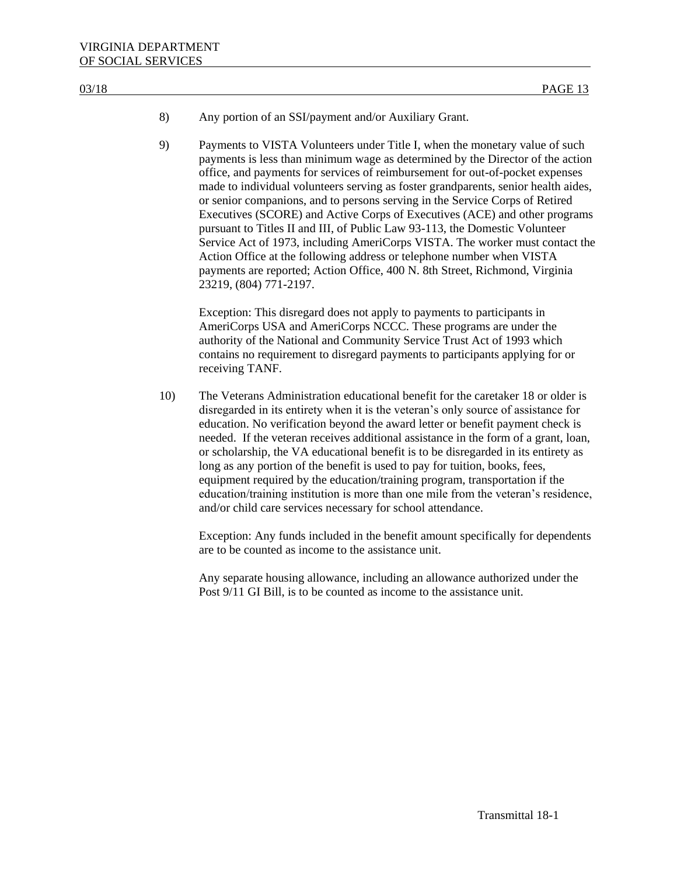- 8) Any portion of an SSI/payment and/or Auxiliary Grant.
- 9) Payments to VISTA Volunteers under Title I, when the monetary value of such payments is less than minimum wage as determined by the Director of the action office, and payments for services of reimbursement for out-of-pocket expenses made to individual volunteers serving as foster grandparents, senior health aides, or senior companions, and to persons serving in the Service Corps of Retired Executives (SCORE) and Active Corps of Executives (ACE) and other programs pursuant to Titles II and III, of Public Law 93-113, the Domestic Volunteer Service Act of 1973, including AmeriCorps VISTA. The worker must contact the Action Office at the following address or telephone number when VISTA payments are reported; Action Office, 400 N. 8th Street, Richmond, Virginia 23219, (804) 771-2197.

Exception: This disregard does not apply to payments to participants in AmeriCorps USA and AmeriCorps NCCC. These programs are under the authority of the National and Community Service Trust Act of 1993 which contains no requirement to disregard payments to participants applying for or receiving TANF.

10) The Veterans Administration educational benefit for the caretaker 18 or older is disregarded in its entirety when it is the veteran's only source of assistance for education. No verification beyond the award letter or benefit payment check is needed. If the veteran receives additional assistance in the form of a grant, loan, or scholarship, the VA educational benefit is to be disregarded in its entirety as long as any portion of the benefit is used to pay for tuition, books, fees, equipment required by the education/training program, transportation if the education/training institution is more than one mile from the veteran's residence, and/or child care services necessary for school attendance.

Exception: Any funds included in the benefit amount specifically for dependents are to be counted as income to the assistance unit.

Any separate housing allowance, including an allowance authorized under the Post 9/11 GI Bill, is to be counted as income to the assistance unit.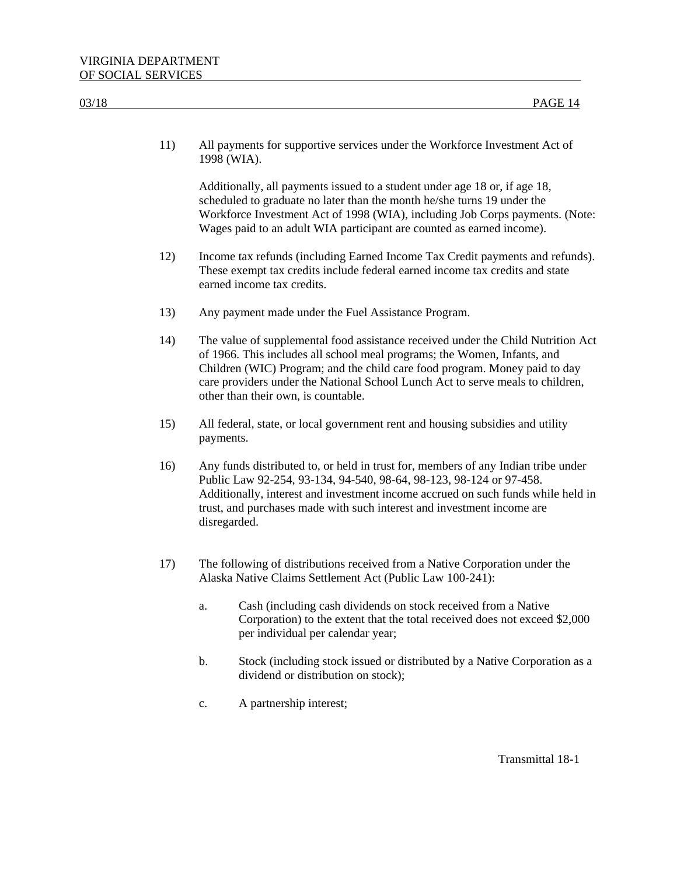| 03/18 | PAGE 14                                                                                                                                                                                                                                                                                                                                                             |
|-------|---------------------------------------------------------------------------------------------------------------------------------------------------------------------------------------------------------------------------------------------------------------------------------------------------------------------------------------------------------------------|
| 11)   | All payments for supportive services under the Workforce Investment Act of<br>1998 (WIA).                                                                                                                                                                                                                                                                           |
|       | Additionally, all payments issued to a student under age 18 or, if age 18,<br>scheduled to graduate no later than the month he/she turns 19 under the<br>Workforce Investment Act of 1998 (WIA), including Job Corps payments. (Note:<br>Wages paid to an adult WIA participant are counted as earned income).                                                      |
| 12)   | Income tax refunds (including Earned Income Tax Credit payments and refunds).<br>These exempt tax credits include federal earned income tax credits and state<br>earned income tax credits.                                                                                                                                                                         |
| 13)   | Any payment made under the Fuel Assistance Program.                                                                                                                                                                                                                                                                                                                 |
| 14)   | The value of supplemental food assistance received under the Child Nutrition Act<br>of 1966. This includes all school meal programs; the Women, Infants, and<br>Children (WIC) Program; and the child care food program. Money paid to day<br>care providers under the National School Lunch Act to serve meals to children,<br>other than their own, is countable. |
| 15)   | All federal, state, or local government rent and housing subsidies and utility<br>payments.                                                                                                                                                                                                                                                                         |
| 16)   | Any funds distributed to, or held in trust for, members of any Indian tribe under<br>Public Law 92-254, 93-134, 94-540, 98-64, 98-123, 98-124 or 97-458.<br>Additionally, interest and investment income accrued on such funds while held in<br>trust, and purchases made with such interest and investment income are<br>disregarded.                              |
| 17)   | The following of distributions received from a Native Corporation under the<br>Alaska Native Claims Settlement Act (Public Law 100-241):                                                                                                                                                                                                                            |
|       | Cash (including cash dividends on stock received from a Native<br>a.<br>Corporation) to the extent that the total received does not exceed \$2,000<br>per individual per calendar year;                                                                                                                                                                             |
|       | Stock (including stock issued or distributed by a Native Corporation as a<br>b.<br>dividend or distribution on stock);                                                                                                                                                                                                                                              |
|       | A partnership interest;<br>$\mathbf{c}.$                                                                                                                                                                                                                                                                                                                            |
|       |                                                                                                                                                                                                                                                                                                                                                                     |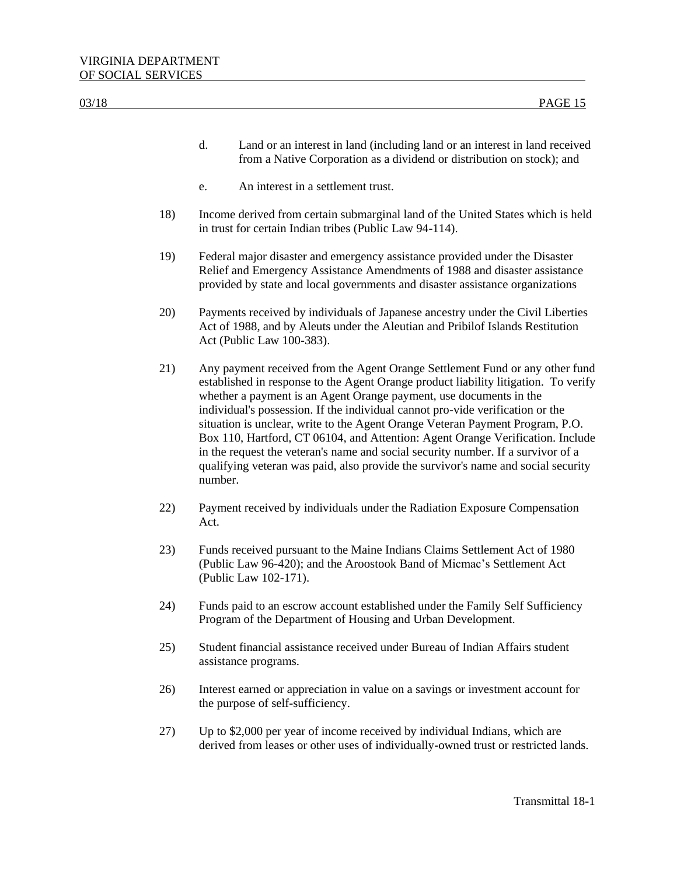| 03/18 |     | PAGE 15                                                                                                                                                                                                                                                                                                                                                                                                                                                                                                                                                                                                                                                                            |
|-------|-----|------------------------------------------------------------------------------------------------------------------------------------------------------------------------------------------------------------------------------------------------------------------------------------------------------------------------------------------------------------------------------------------------------------------------------------------------------------------------------------------------------------------------------------------------------------------------------------------------------------------------------------------------------------------------------------|
|       |     |                                                                                                                                                                                                                                                                                                                                                                                                                                                                                                                                                                                                                                                                                    |
|       |     | Land or an interest in land (including land or an interest in land received<br>d.<br>from a Native Corporation as a dividend or distribution on stock); and                                                                                                                                                                                                                                                                                                                                                                                                                                                                                                                        |
|       |     | An interest in a settlement trust.<br>e.                                                                                                                                                                                                                                                                                                                                                                                                                                                                                                                                                                                                                                           |
|       | 18) | Income derived from certain submarginal land of the United States which is held<br>in trust for certain Indian tribes (Public Law 94-114).                                                                                                                                                                                                                                                                                                                                                                                                                                                                                                                                         |
|       | 19) | Federal major disaster and emergency assistance provided under the Disaster<br>Relief and Emergency Assistance Amendments of 1988 and disaster assistance<br>provided by state and local governments and disaster assistance organizations                                                                                                                                                                                                                                                                                                                                                                                                                                         |
|       | 20) | Payments received by individuals of Japanese ancestry under the Civil Liberties<br>Act of 1988, and by Aleuts under the Aleutian and Pribilof Islands Restitution<br>Act (Public Law 100-383).                                                                                                                                                                                                                                                                                                                                                                                                                                                                                     |
|       | 21) | Any payment received from the Agent Orange Settlement Fund or any other fund<br>established in response to the Agent Orange product liability litigation. To verify<br>whether a payment is an Agent Orange payment, use documents in the<br>individual's possession. If the individual cannot pro-vide verification or the<br>situation is unclear, write to the Agent Orange Veteran Payment Program, P.O.<br>Box 110, Hartford, CT 06104, and Attention: Agent Orange Verification. Include<br>in the request the veteran's name and social security number. If a survivor of a<br>qualifying veteran was paid, also provide the survivor's name and social security<br>number. |
|       | 22) | Payment received by individuals under the Radiation Exposure Compensation<br>Act.                                                                                                                                                                                                                                                                                                                                                                                                                                                                                                                                                                                                  |
|       | 23) | Funds received pursuant to the Maine Indians Claims Settlement Act of 1980<br>(Public Law 96-420); and the Aroostook Band of Micmac's Settlement Act<br>(Public Law 102-171).                                                                                                                                                                                                                                                                                                                                                                                                                                                                                                      |
|       | 24) | Funds paid to an escrow account established under the Family Self Sufficiency<br>Program of the Department of Housing and Urban Development.                                                                                                                                                                                                                                                                                                                                                                                                                                                                                                                                       |
|       | 25) | Student financial assistance received under Bureau of Indian Affairs student<br>assistance programs.                                                                                                                                                                                                                                                                                                                                                                                                                                                                                                                                                                               |
|       | 26) | Interest earned or appreciation in value on a savings or investment account for<br>the purpose of self-sufficiency.                                                                                                                                                                                                                                                                                                                                                                                                                                                                                                                                                                |
|       | 27) | Up to \$2,000 per year of income received by individual Indians, which are<br>derived from leases or other uses of individually-owned trust or restricted lands.                                                                                                                                                                                                                                                                                                                                                                                                                                                                                                                   |
|       |     |                                                                                                                                                                                                                                                                                                                                                                                                                                                                                                                                                                                                                                                                                    |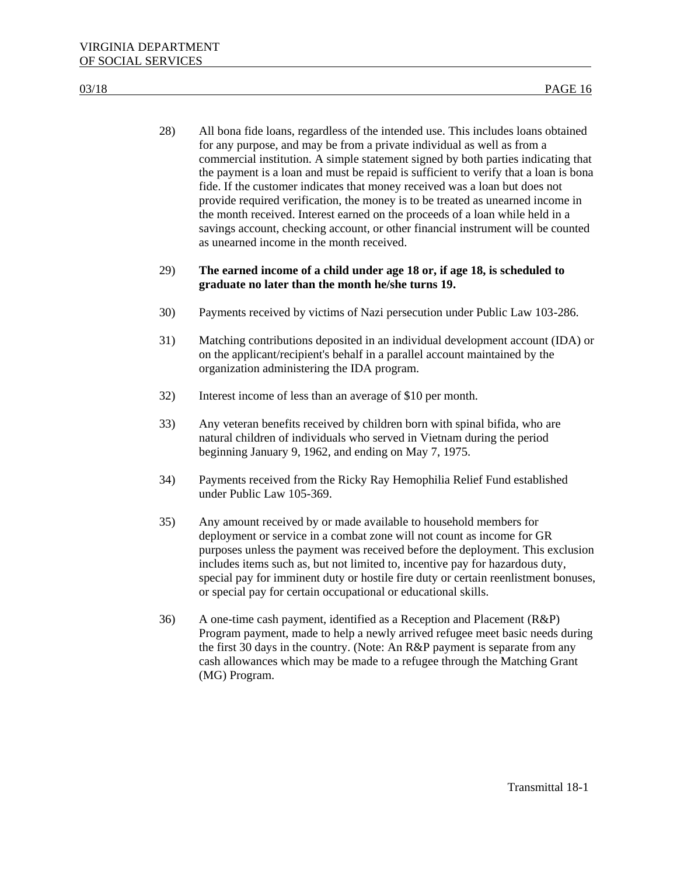28) All bona fide loans, regardless of the intended use. This includes loans obtained for any purpose, and may be from a private individual as well as from a commercial institution. A simple statement signed by both parties indicating that the payment is a loan and must be repaid is sufficient to verify that a loan is bona fide. If the customer indicates that money received was a loan but does not provide required verification, the money is to be treated as unearned income in the month received. Interest earned on the proceeds of a loan while held in a savings account, checking account, or other financial instrument will be counted as unearned income in the month received.

# 29) **The earned income of a child under age 18 or, if age 18, is scheduled to graduate no later than the month he/she turns 19.**

- 30) Payments received by victims of Nazi persecution under Public Law 103-286.
- 31) Matching contributions deposited in an individual development account (IDA) or on the applicant/recipient's behalf in a parallel account maintained by the organization administering the IDA program.
- 32) Interest income of less than an average of \$10 per month.
- 33) Any veteran benefits received by children born with spinal bifida, who are natural children of individuals who served in Vietnam during the period beginning January 9, 1962, and ending on May 7, 1975.
- 34) Payments received from the Ricky Ray Hemophilia Relief Fund established under Public Law 105-369.
- 35) Any amount received by or made available to household members for deployment or service in a combat zone will not count as income for GR purposes unless the payment was received before the deployment. This exclusion includes items such as, but not limited to, incentive pay for hazardous duty, special pay for imminent duty or hostile fire duty or certain reenlistment bonuses, or special pay for certain occupational or educational skills.
- 36) A one-time cash payment, identified as a Reception and Placement (R&P) Program payment, made to help a newly arrived refugee meet basic needs during the first 30 days in the country. (Note: An R&P payment is separate from any cash allowances which may be made to a refugee through the Matching Grant (MG) Program.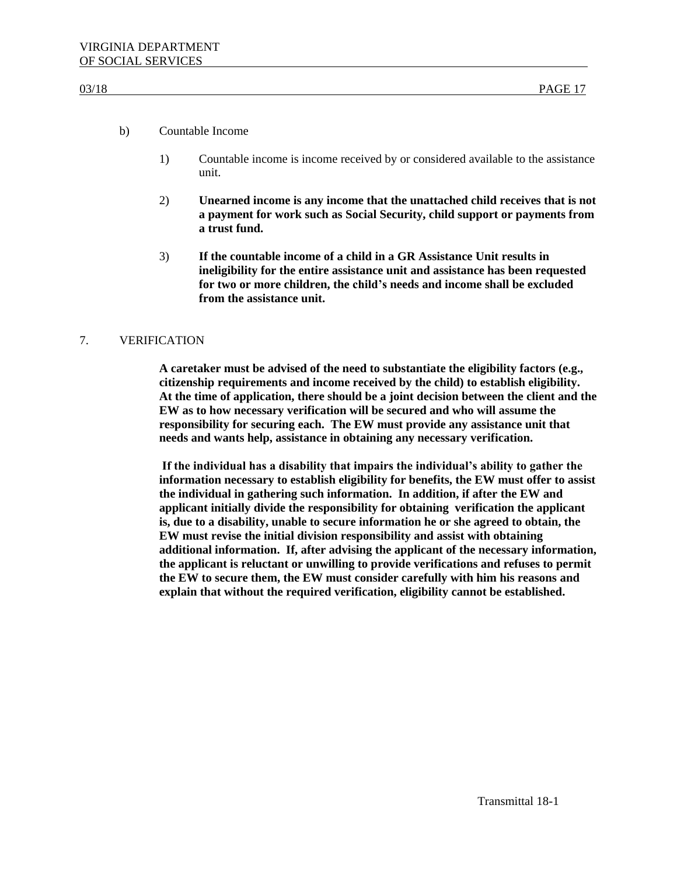### b) Countable Income

- 1) Countable income is income received by or considered available to the assistance unit.
- 2) **Unearned income is any income that the unattached child receives that is not a payment for work such as Social Security, child support or payments from a trust fund.**
- 3) **If the countable income of a child in a GR Assistance Unit results in ineligibility for the entire assistance unit and assistance has been requested for two or more children, the child's needs and income shall be excluded from the assistance unit.**

# 7. VERIFICATION

**A caretaker must be advised of the need to substantiate the eligibility factors (e.g., citizenship requirements and income received by the child) to establish eligibility. At the time of application, there should be a joint decision between the client and the EW as to how necessary verification will be secured and who will assume the responsibility for securing each. The EW must provide any assistance unit that needs and wants help, assistance in obtaining any necessary verification.**

**If the individual has a disability that impairs the individual's ability to gather the information necessary to establish eligibility for benefits, the EW must offer to assist the individual in gathering such information. In addition, if after the EW and applicant initially divide the responsibility for obtaining verification the applicant is, due to a disability, unable to secure information he or she agreed to obtain, the EW must revise the initial division responsibility and assist with obtaining additional information. If, after advising the applicant of the necessary information, the applicant is reluctant or unwilling to provide verifications and refuses to permit the EW to secure them, the EW must consider carefully with him his reasons and explain that without the required verification, eligibility cannot be established.**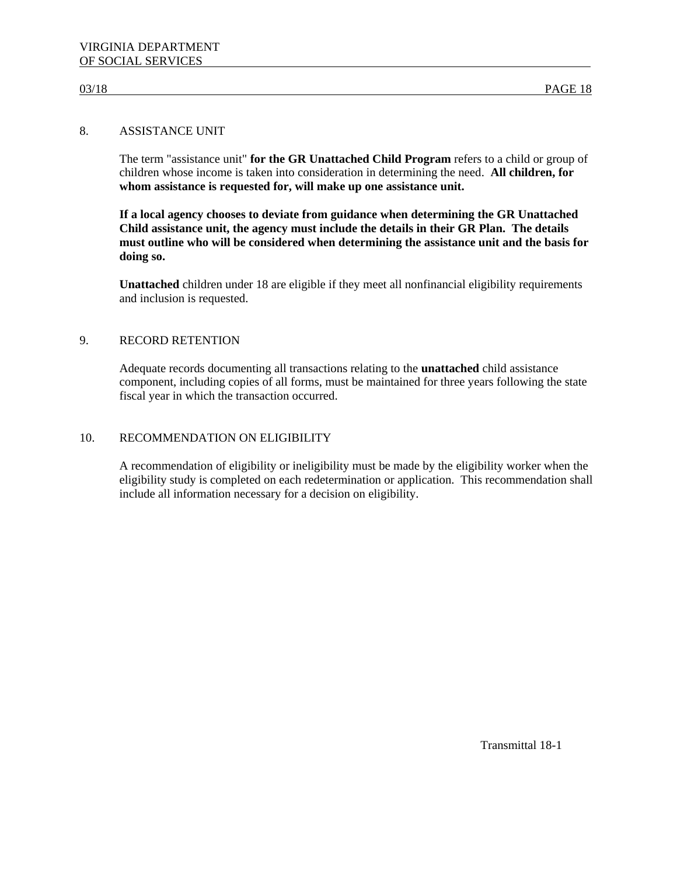# 8. ASSISTANCE UNIT

The term "assistance unit" **for the GR Unattached Child Program** refers to a child or group of children whose income is taken into consideration in determining the need. **All children, for whom assistance is requested for, will make up one assistance unit.**

**If a local agency chooses to deviate from guidance when determining the GR Unattached Child assistance unit, the agency must include the details in their GR Plan. The details must outline who will be considered when determining the assistance unit and the basis for doing so.**

**Unattached** children under 18 are eligible if they meet all nonfinancial eligibility requirements and inclusion is requested.

# 9. RECORD RETENTION

Adequate records documenting all transactions relating to the **unattached** child assistance component, including copies of all forms, must be maintained for three years following the state fiscal year in which the transaction occurred.

# 10. RECOMMENDATION ON ELIGIBILITY

A recommendation of eligibility or ineligibility must be made by the eligibility worker when the eligibility study is completed on each redetermination or application. This recommendation shall include all information necessary for a decision on eligibility.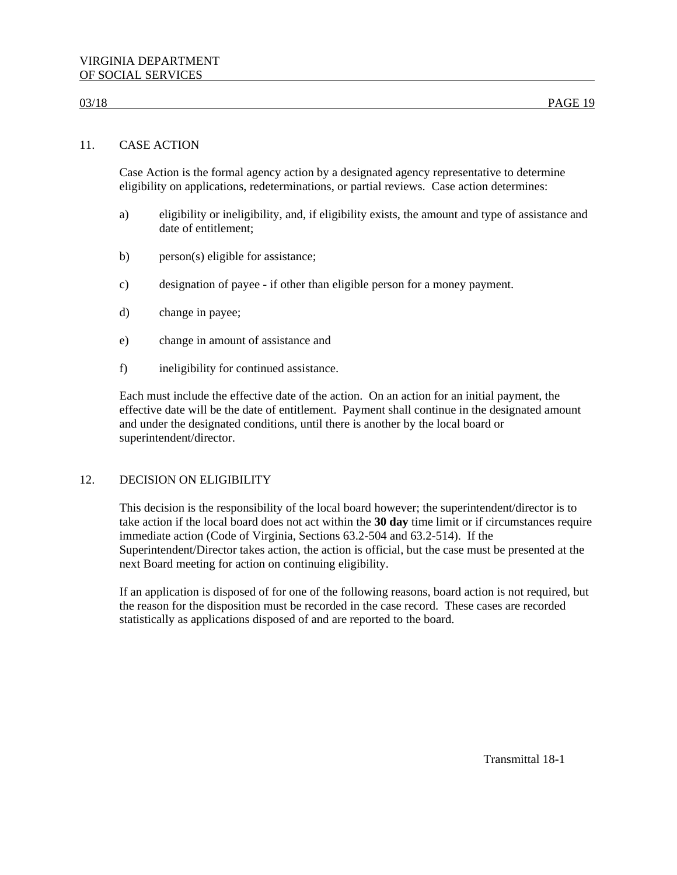# 11. CASE ACTION

Case Action is the formal agency action by a designated agency representative to determine eligibility on applications, redeterminations, or partial reviews. Case action determines:

- a) eligibility or ineligibility, and, if eligibility exists, the amount and type of assistance and date of entitlement;
- b) person(s) eligible for assistance;
- c) designation of payee if other than eligible person for a money payment.
- d) change in payee;
- e) change in amount of assistance and
- f) ineligibility for continued assistance.

Each must include the effective date of the action. On an action for an initial payment, the effective date will be the date of entitlement. Payment shall continue in the designated amount and under the designated conditions, until there is another by the local board or superintendent/director.

# 12. DECISION ON ELIGIBILITY

This decision is the responsibility of the local board however; the superintendent/director is to take action if the local board does not act within the **30 day** time limit or if circumstances require immediate action (Code of Virginia, Sections 63.2-504 and 63.2-514). If the Superintendent/Director takes action, the action is official, but the case must be presented at the next Board meeting for action on continuing eligibility.

If an application is disposed of for one of the following reasons, board action is not required, but the reason for the disposition must be recorded in the case record. These cases are recorded statistically as applications disposed of and are reported to the board.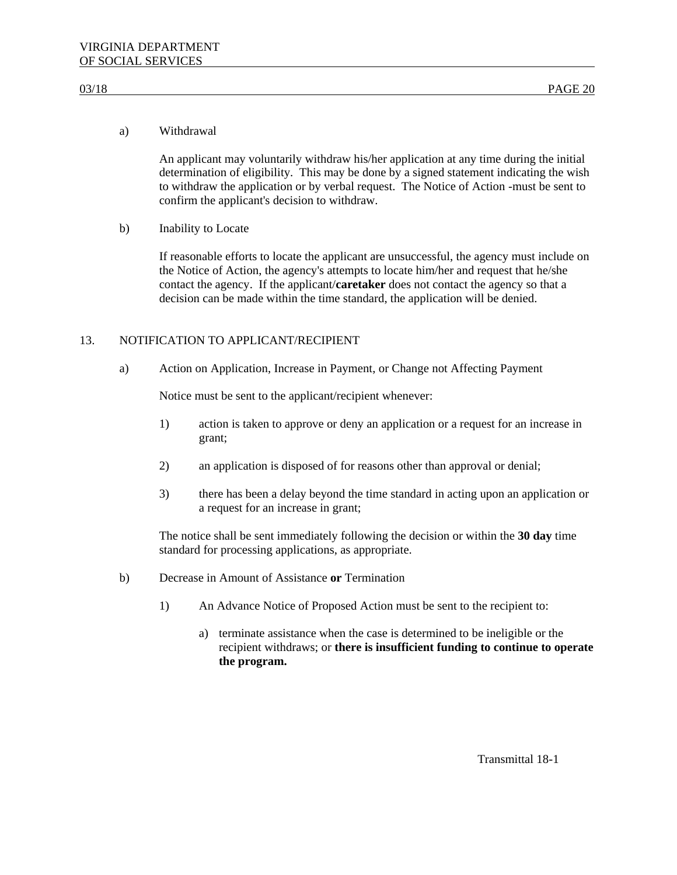### a) Withdrawal

An applicant may voluntarily withdraw his/her application at any time during the initial determination of eligibility. This may be done by a signed statement indicating the wish to withdraw the application or by verbal request. The Notice of Action -must be sent to confirm the applicant's decision to withdraw.

b) Inability to Locate

If reasonable efforts to locate the applicant are unsuccessful, the agency must include on the Notice of Action, the agency's attempts to locate him/her and request that he/she contact the agency. If the applicant/**caretaker** does not contact the agency so that a decision can be made within the time standard, the application will be denied.

# 13. NOTIFICATION TO APPLICANT/RECIPIENT

a) Action on Application, Increase in Payment, or Change not Affecting Payment

Notice must be sent to the applicant/recipient whenever:

- 1) action is taken to approve or deny an application or a request for an increase in grant;
- 2) an application is disposed of for reasons other than approval or denial;
- 3) there has been a delay beyond the time standard in acting upon an application or a request for an increase in grant;

The notice shall be sent immediately following the decision or within the **30 day** time standard for processing applications, as appropriate.

- b) Decrease in Amount of Assistance **or** Termination
	- 1) An Advance Notice of Proposed Action must be sent to the recipient to:
		- a) terminate assistance when the case is determined to be ineligible or the recipient withdraws; or **there is insufficient funding to continue to operate the program.**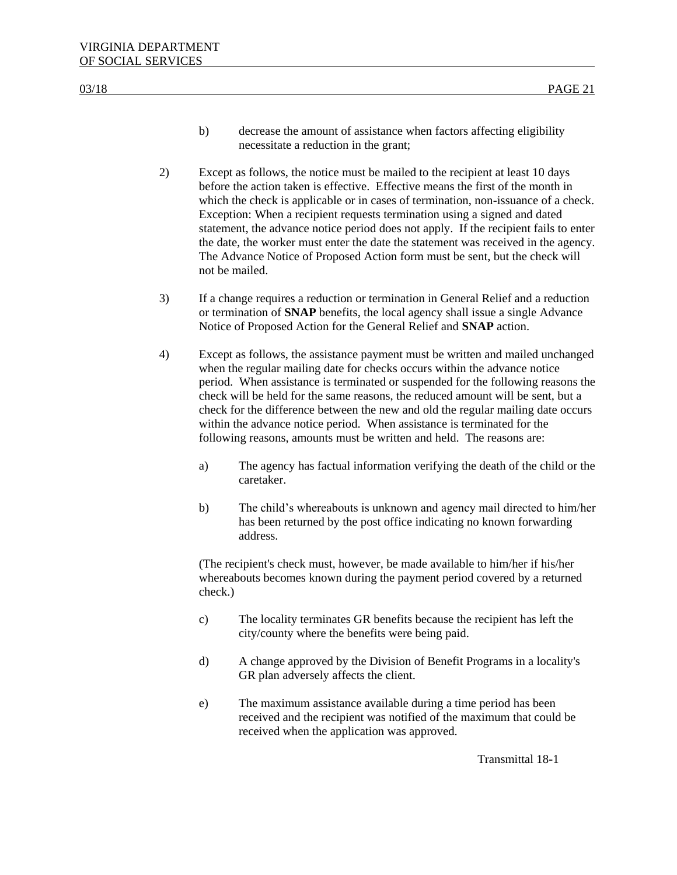- b) decrease the amount of assistance when factors affecting eligibility necessitate a reduction in the grant;
- 2) Except as follows, the notice must be mailed to the recipient at least 10 days before the action taken is effective. Effective means the first of the month in which the check is applicable or in cases of termination, non-issuance of a check. Exception: When a recipient requests termination using a signed and dated statement, the advance notice period does not apply. If the recipient fails to enter the date, the worker must enter the date the statement was received in the agency. The Advance Notice of Proposed Action form must be sent, but the check will not be mailed.
- 3) If a change requires a reduction or termination in General Relief and a reduction or termination of **SNAP** benefits, the local agency shall issue a single Advance Notice of Proposed Action for the General Relief and **SNAP** action.
- 4) Except as follows, the assistance payment must be written and mailed unchanged when the regular mailing date for checks occurs within the advance notice period. When assistance is terminated or suspended for the following reasons the check will be held for the same reasons, the reduced amount will be sent, but a check for the difference between the new and old the regular mailing date occurs within the advance notice period. When assistance is terminated for the following reasons, amounts must be written and held. The reasons are:
	- a) The agency has factual information verifying the death of the child or the caretaker.
	- b) The child's whereabouts is unknown and agency mail directed to him/her has been returned by the post office indicating no known forwarding address.

(The recipient's check must, however, be made available to him/her if his/her whereabouts becomes known during the payment period covered by a returned check.)

- c) The locality terminates GR benefits because the recipient has left the city/county where the benefits were being paid.
- d) A change approved by the Division of Benefit Programs in a locality's GR plan adversely affects the client.
- e) The maximum assistance available during a time period has been received and the recipient was notified of the maximum that could be received when the application was approved.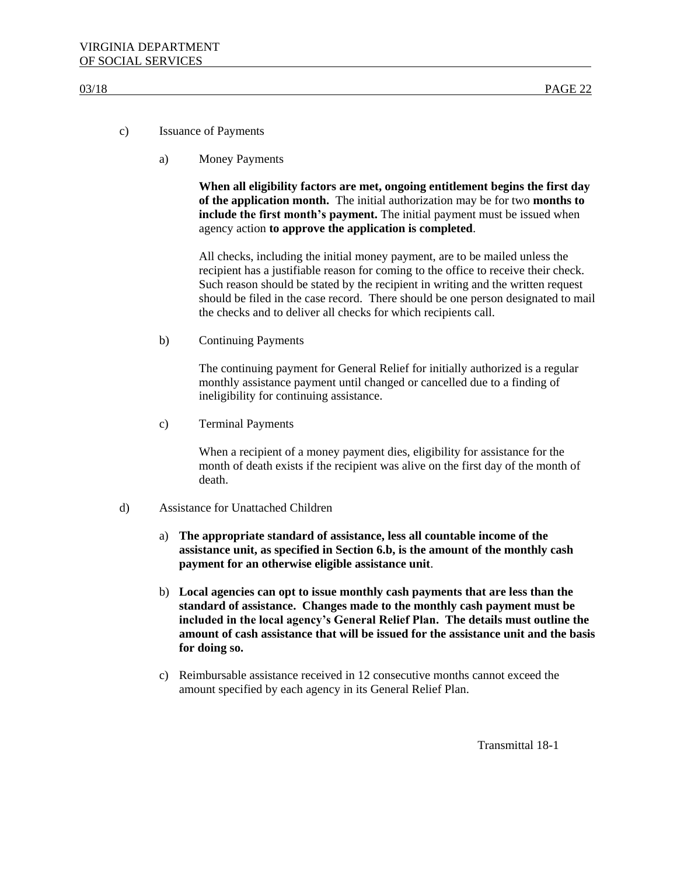- c) Issuance of Payments
	- a) Money Payments

**When all eligibility factors are met, ongoing entitlement begins the first day of the application month.** The initial authorization may be for two **months to include the first month's payment.** The initial payment must be issued when agency action **to approve the application is completed**.

All checks, including the initial money payment, are to be mailed unless the recipient has a justifiable reason for coming to the office to receive their check. Such reason should be stated by the recipient in writing and the written request should be filed in the case record. There should be one person designated to mail the checks and to deliver all checks for which recipients call.

b) Continuing Payments

The continuing payment for General Relief for initially authorized is a regular monthly assistance payment until changed or cancelled due to a finding of ineligibility for continuing assistance.

c) Terminal Payments

When a recipient of a money payment dies, eligibility for assistance for the month of death exists if the recipient was alive on the first day of the month of death.

- d) Assistance for Unattached Children
	- a) **The appropriate standard of assistance, less all countable income of the assistance unit, as specified in Section 6.b, is the amount of the monthly cash payment for an otherwise eligible assistance unit**.
	- b) **Local agencies can opt to issue monthly cash payments that are less than the standard of assistance. Changes made to the monthly cash payment must be included in the local agency's General Relief Plan. The details must outline the amount of cash assistance that will be issued for the assistance unit and the basis for doing so.**
	- c) Reimbursable assistance received in 12 consecutive months cannot exceed the amount specified by each agency in its General Relief Plan.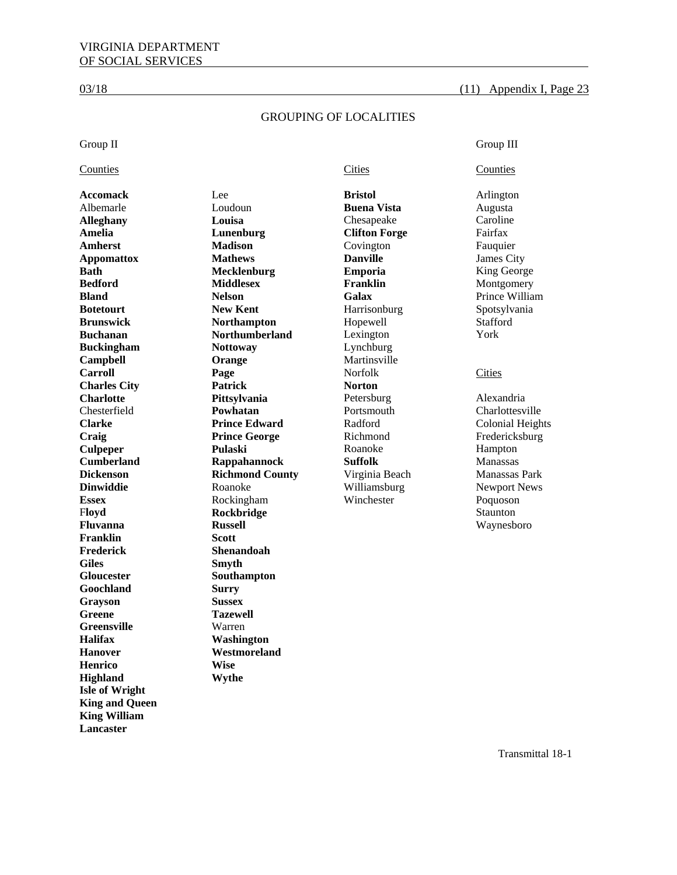### $03/18$  (11) Appendix I, Page 23

### GROUPING OF LOCALITIES

### Group II Group III

### **Counties Counties Cities Counties Counties Counties**

**Franklin Scott Frederick Shenandoah Giles Smyth Gloucester Southampton Goochland Surry Grayson Sussex Greene Tazewell Greensville** Warren **Halifax Washington Hanover Westmoreland Henrico Wise Highland Wythe Isle of Wright King and Queen King William Lancaster** 

**Accomack** Lee **Bristol** Arlington Albemarle Loudoun **Buena Vista** Augusta **Alleghany Louisa Chesapeake Amelia Lunenburg Clifton Forge Fairfax Amherst Madison Covington Fauquier Appomattox Mathews Danville** James City **Bath Mecklenburg Emporia King George Bedford Middlesex Franklin Montgomery Bland Nelson Galax Prince William Botetourt New Kent** Harrisonburg Spotsylvania **Brunswick Morthampton Hopewell Stafford Buchanan Northumberland** Lexington Vork Northumber **Northumberland** Lexington York **Buckingham Mottoway Lynchburg Campbell Orange Martinsville Carroll Page Page Norfolk Cities Charles City Patrick Norton Charlotte Pittsylvania** Petersburg Alexandria Chesterfield **Powhatan** Portsmouth Charlottesville **Clarke Clarke Prince Edward Radford Colonial Heights Craig Prince George Richmond Fredericksburg** Prince George Richmond Fredericksburg **Culpeper Pulaski Pulaski** Roanoke Hampton **Cumberland Rappahannock Suffolk** Manassas **Dickenson Richmond County** Virginia Beach Manassas Park **Dinwiddie Roanoke Williamsburg Newport News Essex Rockingham Winchester Poquoson Floyd** Staunton **Rockbridge Rockbridge Staunton Fluvanna Russell** Waynesboro